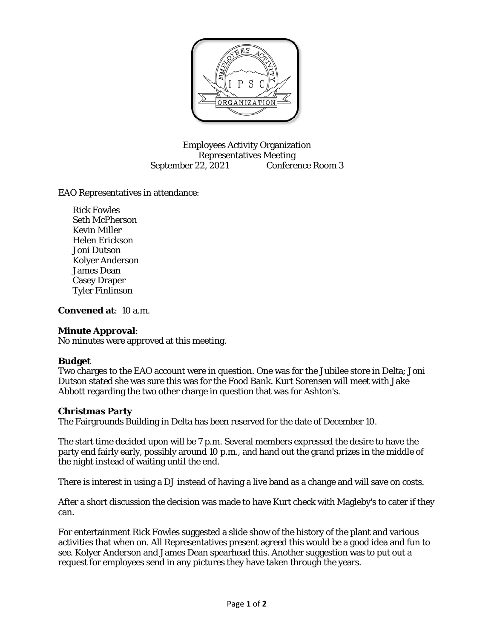

Employees Activity Organization Representatives Meeting September 22, 2021 Conference Room 3

EAO Representatives in attendance:

Rick Fowles Seth McPherson Kevin Miller Helen Erickson Joni Dutson Kolyer Anderson James Dean Casey Draper Tyler Finlinson

**Convened at**: 10 a.m.

### **Minute Approval**:

No minutes were approved at this meeting.

### **Budget**

Two charges to the EAO account were in question. One was for the Jubilee store in Delta; Joni Dutson stated she was sure this was for the Food Bank. Kurt Sorensen will meet with Jake Abbott regarding the two other charge in question that was for Ashton's.

### **Christmas Party**

The Fairgrounds Building in Delta has been reserved for the date of December 10.

The start time decided upon will be 7 p.m. Several members expressed the desire to have the party end fairly early, possibly around 10 p.m., and hand out the grand prizes in the middle of the night instead of waiting until the end.

There is interest in using a DJ instead of having a live band as a change and will save on costs.

After a short discussion the decision was made to have Kurt check with Magleby's to cater if they can.

For entertainment Rick Fowles suggested a slide show of the history of the plant and various activities that when on. All Representatives present agreed this would be a good idea and fun to see. Kolyer Anderson and James Dean spearhead this. Another suggestion was to put out a request for employees send in any pictures they have taken through the years.